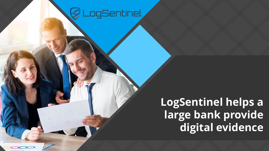

**LogSentinel helps a large bank provide digital evidence**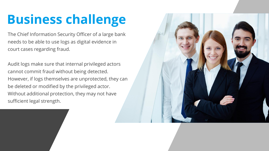# **Business challenge**

The Chief Information Security Officer of a large bank needs to be able to use logs as digital evidence in court cases regarding fraud.

Audit logs make sure that internal privileged actors cannot commit fraud without being detected. However, if logs themselves are unprotected, they can be deleted or modified by the privileged actor. Without additional protection, they may not have sufficient legal strength.

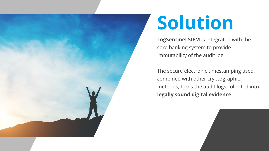

# **Solution**

**LogSentinel SIEM** is integrated with the core banking system to provide immutability of the audit log.

The secure electronic timestamping used, combined with other cryptographic methods, turns the audit logs collected into **legally sound digital evidence**.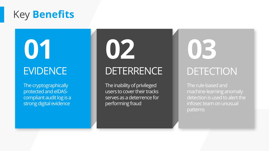## Key **Benefits**

## **EVIDENCE**

**01**

The cryptographically protected and eIDAScompliant audit log is a strong digital evidence

**02**

## **DETERRENCE**

The inability of privileged users to cover their tracks serves as a deterrence for performing fraud

# **03 DETECTION**

The rule-based and machine-learning anomaly detection is used to alert the infosec team on unusual patterns